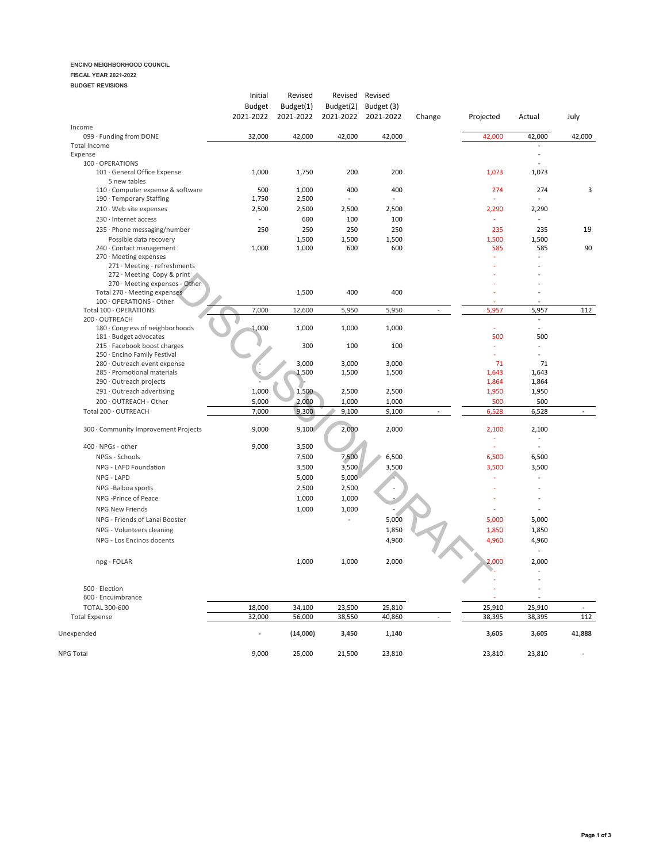## **ENCINO NEIGHBORHOOD COUNCIL**

## **FISCAL YEAR 2021-2022**

| <b>BUDGET REVISIONS</b>                                   |                |                |                          |                     |                          |              |                             |                |
|-----------------------------------------------------------|----------------|----------------|--------------------------|---------------------|--------------------------|--------------|-----------------------------|----------------|
|                                                           | Initial        | Revised        | Revised                  | Revised             |                          |              |                             |                |
|                                                           | <b>Budget</b>  | Budget(1)      | Budget(2)                | Budget (3)          |                          |              |                             |                |
|                                                           | 2021-2022      | 2021-2022      |                          | 2021-2022 2021-2022 | Change                   | Projected    | Actual                      | July           |
| Income<br>099 · Funding from DONE                         | 32,000         | 42,000         | 42,000                   | 42,000              |                          | 42,000       | 42,000                      | 42,000         |
| <b>Total Income</b>                                       |                |                |                          |                     |                          |              |                             |                |
| Expense                                                   |                |                |                          |                     |                          |              | $\sim$                      |                |
| 100 · OPERATIONS                                          |                |                |                          |                     |                          |              |                             |                |
| 101 · General Office Expense                              | 1,000          | 1,750          | 200                      | 200                 |                          | 1,073        | 1,073                       |                |
| 5 new tables                                              |                |                |                          |                     |                          |              |                             |                |
| 110 · Computer expense & software                         | 500            | 1,000          | 400                      | 400                 |                          | 274          | 274<br>$\overline{a}$       | 3              |
| 190 · Temporary Staffing<br>$210 \cdot$ Web site expenses | 1,750<br>2,500 | 2,500          | 2,500                    | 2,500               |                          | 2,290        | 2,290                       |                |
| 230 · Internet access                                     | $\sim$         | 2,500          |                          |                     |                          | $\omega$     | $\mathcal{L}_{\mathcal{A}}$ |                |
|                                                           |                | 600            | 100                      | 100                 |                          |              |                             |                |
| $235 \cdot$ Phone messaging/number                        | 250            | 250            | 250                      | 250                 |                          | 235          | 235                         | 19             |
| Possible data recovery<br>240 · Contact management        | 1,000          | 1,500<br>1,000 | 1,500<br>600             | 1,500<br>600        |                          | 1,500<br>585 | 1,500<br>585                | 90             |
| 270 · Meeting expenses                                    |                |                |                          |                     |                          | ä,           | ÷.                          |                |
| 271 · Meeting - refreshments                              |                |                |                          |                     |                          |              |                             |                |
| 272 · Meeting Copy & print                                |                |                |                          |                     |                          |              |                             |                |
| 270 · Meeting expenses - Other                            |                |                |                          |                     |                          |              |                             |                |
| Total 270 · Meeting expenses                              |                | 1,500          | 400                      | 400                 |                          |              |                             |                |
| 100 · OPERATIONS - Other                                  |                |                |                          |                     |                          |              |                             |                |
| Total 100 · OPERATIONS<br>200 · OUTREACH                  | 7,000          | 12,600         | 5,950                    | 5,950               | $\overline{\phantom{a}}$ | 5,957        | 5,957<br>$\blacksquare$     | 112            |
| 180 · Congress of neighborhoods                           | 1,000          | 1,000          | 1,000                    | 1,000               |                          | ä,           | $\sim$                      |                |
| 181 · Budget advocates                                    |                |                |                          |                     |                          | 500          | 500                         |                |
| 215 · Facebook boost charges                              |                | 300            | 100                      | 100                 |                          | ÷            | $\overline{\phantom{a}}$    |                |
| 250 · Encino Family Festival                              |                |                |                          |                     |                          | ÷            | ÷                           |                |
| 280 · Outreach event expense                              |                | 3,000          | 3,000                    | 3,000               |                          | 71           | 71                          |                |
| 285 · Promotional materials                               |                | 1,500          | 1,500                    | 1,500               |                          | 1,643        | 1,643                       |                |
| 290 · Outreach projects                                   |                |                |                          |                     |                          | 1,864        | 1,864                       |                |
| $291 \cdot$ Outreach advertising                          | 1,000          | 1,500          | 2,500                    | 2,500               |                          | 1,950        | 1,950                       |                |
| 200 · OUTREACH - Other<br>Total 200 · OUTREACH            | 5,000<br>7,000 | 2,000          | 1,000                    | 1,000<br>9,100      |                          | 500          | 500                         |                |
|                                                           |                | 9,300          | 9,100                    |                     |                          | 6,528        | 6,528                       |                |
| 300 · Community Improvement Projects                      | 9,000          | 9,100          | 2,000                    | 2,000               |                          | 2,100<br>ä,  | 2,100<br>÷                  |                |
| $400 \cdot \text{NPGs}$ - other                           | 9,000          | 3,500          |                          |                     |                          | ÷            | $\sim$                      |                |
| NPGs - Schools                                            |                | 7,500          | 7,500                    | 6,500               |                          | 6,500        | 6,500                       |                |
| NPG - LAFD Foundation                                     |                | 3,500          | 3,500                    | 3,500               |                          | 3,500        | 3,500                       |                |
| NPG - LAPD                                                |                | 5,000          | 5,000                    |                     |                          | ÷            | ÷,                          |                |
| NPG -Balboa sports                                        |                | 2,500          | 2,500                    | $\overline{a}$      |                          |              | $\overline{a}$              |                |
| NPG -Prince of Peace                                      |                | 1,000          | 1,000                    |                     |                          |              | $\overline{\phantom{m}}$    |                |
| NPG New Friends                                           |                | 1,000          | 1,000                    |                     |                          |              | $\sim$                      |                |
| NPG - Friends of Lanai Booster                            |                |                | $\overline{\phantom{a}}$ | 5,000               |                          | 5,000        | 5,000                       |                |
| NPG - Volunteers cleaning                                 |                |                |                          |                     |                          |              |                             |                |
|                                                           |                |                |                          | 1,850               |                          | 1,850        | 1,850                       |                |
| NPG - Los Encinos docents                                 |                |                |                          | 4,960               |                          | 4,960        | 4,960                       |                |
| npg - FOLAR                                               |                | 1,000          | 1,000                    | 2,000               |                          | 2,000        | 2,000                       |                |
|                                                           |                |                |                          |                     |                          |              |                             |                |
| $500 \cdot$ Election                                      |                |                |                          |                     |                          |              |                             |                |
| 600 · Encuimbrance                                        |                |                |                          |                     |                          |              | $\overline{\phantom{m}}$    |                |
| <b>TOTAL 300-600</b>                                      | 18,000         | 34,100         | 23,500                   | 25,810              |                          | 25,910       | 25,910                      | $\blacksquare$ |
| <b>Total Expense</b>                                      | 32,000         | 56,000         | 38,550                   | 40,860              | $\blacksquare$           | 38,395       | 38,395                      | 112            |
| Unexpended                                                |                | (14,000)       | 3,450                    | 1,140               |                          | 3,605        | 3,605                       | 41,888         |
| NPG Total                                                 | 9,000          | 25,000         | 21,500                   | 23,810              |                          | 23,810       | 23,810                      |                |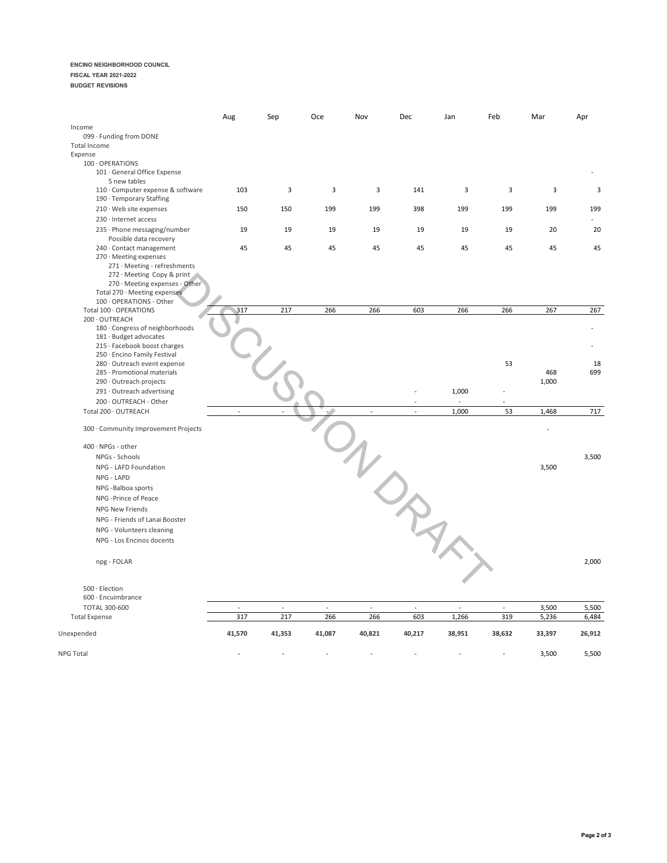### **ENCINO NEIGHBORHOOD COUNCIL**

#### **FISCAL YEAR 2021-2022**

**BUDGET REVISIONS**

|                                                                                                                                                                                    | Aug                      | Sep    | Oce    | Nov           | Dec                      | Jan                      | Feb                      | Mar          | Apr    |
|------------------------------------------------------------------------------------------------------------------------------------------------------------------------------------|--------------------------|--------|--------|---------------|--------------------------|--------------------------|--------------------------|--------------|--------|
| Income                                                                                                                                                                             |                          |        |        |               |                          |                          |                          |              |        |
| 099 · Funding from DONE                                                                                                                                                            |                          |        |        |               |                          |                          |                          |              |        |
| Total Income                                                                                                                                                                       |                          |        |        |               |                          |                          |                          |              |        |
| Expense<br>100 · OPERATIONS                                                                                                                                                        |                          |        |        |               |                          |                          |                          |              |        |
| 101 · General Office Expense<br>5 new tables                                                                                                                                       |                          |        |        |               |                          |                          |                          |              |        |
| 110 · Computer expense & software<br>190 · Temporary Staffing                                                                                                                      | 103                      | 3      | 3      | 3             | 141                      | 3                        | 3                        | 3            | 3      |
| 210 · Web site expenses                                                                                                                                                            | 150                      | 150    | 199    | 199           | 398                      | 199                      | 199                      | 199          | 199    |
| 230 · Internet access                                                                                                                                                              |                          |        |        |               |                          |                          |                          |              |        |
| 235 · Phone messaging/number<br>Possible data recovery                                                                                                                             | 19                       | 19     | 19     | 19            | 19                       | 19                       | 19                       | 20           | 20     |
| 240 · Contact management<br>270 · Meeting expenses<br>271 · Meeting - refreshments<br>272 · Meeting Copy & print<br>270 · Meeting expenses - Other<br>Total 270 · Meeting expenses | 45                       | 45     | 45     | 45            | 45                       | 45                       | 45                       | 45           | 45     |
| 100 · OPERATIONS - Other<br>Total 100 · OPERATIONS                                                                                                                                 | 317                      | 217    | 266    | 266           | 603                      | 266                      | 266                      | 267          | 267    |
| 200 · OUTREACH<br>180 · Congress of neighborhoods                                                                                                                                  |                          |        |        |               |                          |                          |                          |              |        |
| 181 · Budget advocates<br>215 · Facebook boost charges                                                                                                                             |                          |        |        |               |                          |                          |                          |              |        |
| 250 · Encino Family Festival<br>280 · Outreach event expense                                                                                                                       |                          |        |        |               |                          |                          | 53                       |              | 18     |
| 285 · Promotional materials<br>290 · Outreach projects                                                                                                                             |                          |        |        |               |                          |                          |                          | 468<br>1,000 | 699    |
| 291 · Outreach advertising                                                                                                                                                         |                          |        |        |               |                          | 1,000                    |                          |              |        |
| 200 · OUTREACH - Other                                                                                                                                                             |                          |        |        |               |                          |                          |                          |              |        |
| Total 200 · OUTREACH                                                                                                                                                               |                          |        |        |               | $\overline{a}$           | 1,000                    | 53                       | 1,468        | 717    |
| 300 · Community Improvement Projects                                                                                                                                               |                          |        |        |               |                          |                          |                          |              |        |
| 400 · NPGs - other                                                                                                                                                                 |                          |        |        |               |                          |                          |                          |              |        |
| NPGs - Schools                                                                                                                                                                     |                          |        |        | $\nu$         |                          |                          |                          |              | 3,500  |
| NPG - LAFD Foundation                                                                                                                                                              |                          |        |        |               |                          |                          |                          | 3,500        |        |
| NPG - LAPD                                                                                                                                                                         |                          |        |        |               |                          |                          |                          |              |        |
| NPG -Balboa sports                                                                                                                                                                 |                          |        |        |               |                          |                          |                          |              |        |
| NPG -Prince of Peace                                                                                                                                                               |                          |        |        |               |                          |                          |                          |              |        |
| NPG New Friends                                                                                                                                                                    |                          |        |        |               |                          |                          |                          |              |        |
| NPG - Friends of Lanai Booster                                                                                                                                                     |                          |        |        |               |                          |                          |                          |              |        |
| NPG - Volunteers cleaning                                                                                                                                                          |                          |        |        |               |                          |                          |                          |              |        |
|                                                                                                                                                                                    |                          |        |        |               |                          |                          |                          |              |        |
| NPG - Los Encinos docents                                                                                                                                                          |                          |        |        |               |                          |                          |                          |              |        |
| npg - FOLAR                                                                                                                                                                        |                          |        |        |               |                          |                          |                          |              | 2,000  |
| 500 · Election                                                                                                                                                                     |                          |        |        |               |                          |                          |                          |              |        |
| 600 · Encuimbrance                                                                                                                                                                 |                          |        |        |               |                          |                          |                          |              |        |
| TOTAL 300-600                                                                                                                                                                      | $\overline{\phantom{a}}$ | $\sim$ | $\sim$ | $\mathcal{L}$ | $\overline{\phantom{a}}$ | $\overline{\phantom{a}}$ | $\overline{\phantom{a}}$ | 3,500        | 5,500  |
| <b>Total Expense</b>                                                                                                                                                               | 317                      | 217    | 266    | 266           | 603                      | 1,266                    | 319                      | 5,236        | 6,484  |
| Unexpended                                                                                                                                                                         | 41,570                   | 41,353 | 41,087 | 40,821        | 40,217                   | 38,951                   | 38,632                   | 33,397       | 26,912 |
| NPG Total                                                                                                                                                                          |                          |        |        |               |                          |                          |                          | 3,500        | 5,500  |